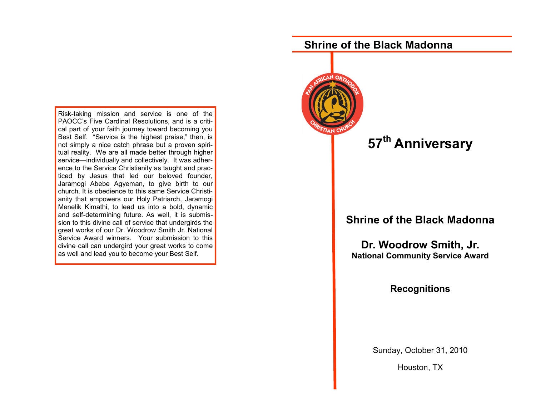Risk-taking mission and service is one of the PAOCC's Five Cardinal Resolutions, and is a critical part of your faith journey toward becoming you Best Self. "Service is the highest praise," then, is not simply a nice catch phrase but a proven spiritual reality. We are all made better through higher service—individually and collectively. It was adherence to the Service Christianity as taught and practiced by Jesus that led our beloved founder, Jaramogi Abebe Agyeman, to give birth to our church. It is obedience to this same Service Christianity that empowers our Holy Patriarch, Jaramogi Menelik Kimathi, to lead us into a bold, dynamic and self-determining future. As well, it is submission to this divine call of service that undergirds the great works of our Dr. Woodrow Smith Jr. National Service Award winners. Your submission to this divine call can undergird your great works to come as well and lead you to become your Best Self.

# **Shrine of the Black Madonna**



## **Shrine of the Black Madonna**

**Dr. Woodrow Smith, Jr. National Community Service Award** 

### **Recognitions**

Sunday, October 31, 2010

Houston, TX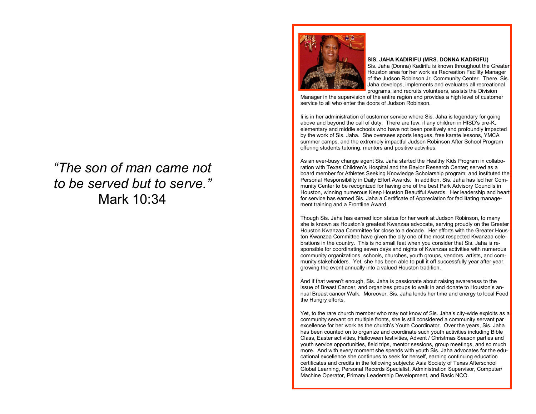# *"The son of man came not to be served but to serve."*  Mark 10:34



#### **SIS. JAHA KADIRIFU (MRS. DONNA KADIRIFU)**

Sis. Jaha (Donna) Kadirifu is known throughout the Greater Houston area for her work as Recreation Facility Manager of the Judson Robinson Jr. Community Center. There, Sis. Jaha develops, implements and evaluates all recreational programs, and recruits volunteers, assists the Division

Manager in the supervision of the entire region and provides a high level of customer service to all who enter the doors of Judson Robinson.

Ii is in her administration of customer service where Sis. Jaha is legendary for going above and beyond the call of duty. There are few, if any children in HISD's pre-K, elementary and middle schools who have not been positively and profoundly impacted by the work of Sis. Jaha. She oversees sports leagues, free karate lessons, YMCA summer camps, and the extremely impactful Judson Robinson After School Program offering students tutoring, mentors and positive activities.

As an ever-busy change agent Sis. Jaha started the Healthy Kids Program in collaboration with Texas Children's Hospital and the Baylor Research Center; served as a board member for Athletes Seeking Knowledge Scholarship program; and instituted the Personal Responsibility in Daily Effort Awards. In addition, Sis. Jaha has led her Community Center to be recognized for having one of the best Park Advisory Councils in Houston, winning numerous Keep Houston Beautiful Awards. Her leadership and heart for service has earned Sis. Jaha a Certificate of Appreciation for facilitating management training and a Frontline Award.

Though Sis. Jaha has earned icon status for her work at Judson Robinson, to many she is known as Houston's greatest Kwanzaa advocate, serving proudly on the Greater Houston Kwanzaa Committee for close to a decade. Her efforts with the Greater Houston Kwanzaa Committee have given the city one of the most respected Kwanzaa celebrations in the country. This is no small feat when you consider that Sis. Jaha is responsible for coordinating seven days and nights of Kwanzaa activities with numerous community organizations, schools, churches, youth groups, vendors, artists, and community stakeholders. Yet, she has been able to pull it off successfully year after year, growing the event annually into a valued Houston tradition.

And if that weren't enough, Sis. Jaha is passionate about raising awareness to the issue of Breast Cancer, and organizes groups to walk in and donate to Houston's annual Breast cancer Walk. Moreover, Sis. Jaha lends her time and energy to local Feed the Hungry efforts.

Yet, to the rare church member who may not know of Sis. Jaha's city-wide exploits as a community servant on multiple fronts, she is still considered a community servant par excellence for her work as the church's Youth Coordinator. Over the years, Sis. Jaha has been counted on to organize and coordinate such youth activities including Bible Class, Easter activities, Halloween festivities, Advent / Christmas Season parties and youth service opportunities, field trips, mentor sessions, group meetings, and so much more. And with every moment she spends with youth Sis. Jaha advocates for the educational excellence she continues to seek for herself, earning continuing education certificates and credits in the following subjects: Asia Society of Texas Afterschool Global Learning, Personal Records Specialist, Administration Supervisor, Computer/ Machine Operator, Primary Leadership Development, and Basic NCO.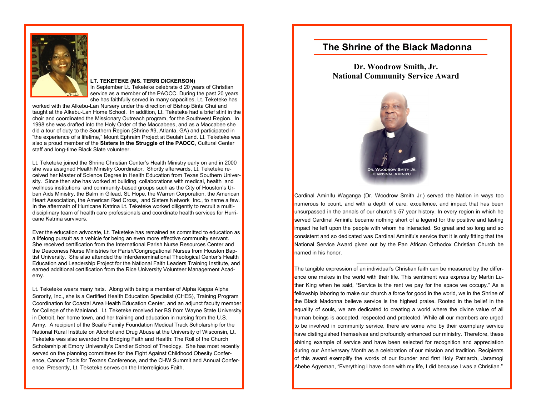

#### **LT. TEKETEKE (MS. TERRI DICKERSON)**

In September Lt. Teketeke celebrate d 20 years of Christian service as a member of the PAOCC. During the past 20 years she has faithfully served in many capacities. Lt. Teketeke has

worked with the Alkebu-Lan Nursery under the direction of Bishop Binta Chui and taught at the Alkebu-Lan Home School. In addition, Lt. Teketeke had a brief stint in the choir and coordinated the Missionary Outreach program, for the Southwest Region. In 1998 she was drafted into the Holy Order of the Maccabees, and as a Maccabee she did a tour of duty to the Southern Region (Shrine #9, Atlanta, GA) and participated in "the experience of a lifetime," Mount Ephraim Project at Beulah Land. Lt. Teketeke was also a proud member of the **Sisters in the Struggle of the PAOCC**, Cultural Center staff and long-time Black Slate volunteer.

Lt. Teketeke joined the Shrine Christian Center's Health Ministry early on and in 2000 she was assigned Health Ministry Coordinator. Shortly afterwards, Lt. Teketeke received her Master of Science Degree in Health Education from Texas Southern University. Since then she has worked at building collaborations with medical, health and wellness institutions and community-based groups such as the City of Houston's Urban Aids Ministry, the Balm in Gilead, St. Hope, the Warren Corporation, the American Heart Association, the American Red Cross, and Sisters Network Inc., to name a few. In the aftermath of Hurricane Katrina Lt. Teketeke worked diligently to recruit a multidisciplinary team of health care professionals and coordinate health services for Hurricane Katrina survivors.

Ever the education advocate, Lt. Teketeke has remained as committed to education as a lifelong pursuit as a vehicle for being an even more effective community servant. She received certification from the International Parish Nurse Resources Center and the Deaconess Nurse Ministries for Parish/Congregational Nurses from Houston Baptist University. She also attended the Interdenominational Theological Center's Health Education and Leadership Project for the National Faith Leaders Training Institute, and earned additional certification from the Rice University Volunteer Management Academy.

Lt. Teketeke wears many hats. Along with being a member of Alpha Kappa Alpha Sorority, Inc., she is a Certified Health Education Specialist (CHES), Training Program Coordination for Coastal Area Health Education Center, and an adjunct faculty member for College of the Mainland. Lt. Teketeke received her BS from Wayne State University in Detroit, her home town, and her training and education in nursing from the U.S. Army. A recipient of the Scaife Family Foundation Medical Track Scholarship for the National Rural Institute on Alcohol and Drug Abuse at the University of Wisconsin, Lt. Teketeke was also awarded the Bridging Faith and Health: The Roll of the Church Scholarship at Emory University's Candler School of Theology. She has most recently served on the planning committees for the Fight Against Childhood Obesity Conference, Cancer Tools for Texans Conference, and the CHW Summit and Annual Conference. Presently, Lt. Teketeke serves on the Interreligious Faith.

### **The Shrine of the Black Madonna**

**Dr. Woodrow Smith, Jr. National Community Service Award** 



Cardinal Aminifu Waganga (Dr. Woodrow Smith Jr.) served the Nation in ways too numerous to count, and with a depth of care, excellence, and impact that has been unsurpassed in the annals of our church's 57 year history. In every region in which he served Cardinal Aminifu became nothing short of a legend for the positive and lasting impact he left upon the people with whom he interacted. So great and so long and so consistent and so dedicated was Cardinal Aminifu's service that it is only fitting that the National Service Award given out by the Pan African Orthodox Christian Church be named in his honor.

**\_\_\_\_\_\_\_\_\_\_\_\_\_\_\_\_\_\_\_\_\_\_\_\_\_\_\_\_**

The tangible expression of an individual's Christian faith can be measured by the difference one makes in the world with their life. This sentiment was express by Martin Luther King when he said, "Service is the rent we pay for the space we occupy." As a fellowship laboring to make our church a force for good in the world, we in the Shrine of the Black Madonna believe service is the highest praise. Rooted in the belief in the equality of souls, we are dedicated to creating a world where the divine value of all human beings is accepted, respected and protected. While all our members are urged to be involved in community service, there are some who by their exemplary service have distinguished themselves and profoundly enhanced our ministry. Therefore, these shining example of service and have been selected for recognition and appreciation during our Anniversary Month as a celebration of our mission and tradition. Recipients of this award exemplify the words of our founder and first Holy Patriarch, Jaramogi Abebe Agyeman, "Everything I have done with my life, I did because I was a Christian."